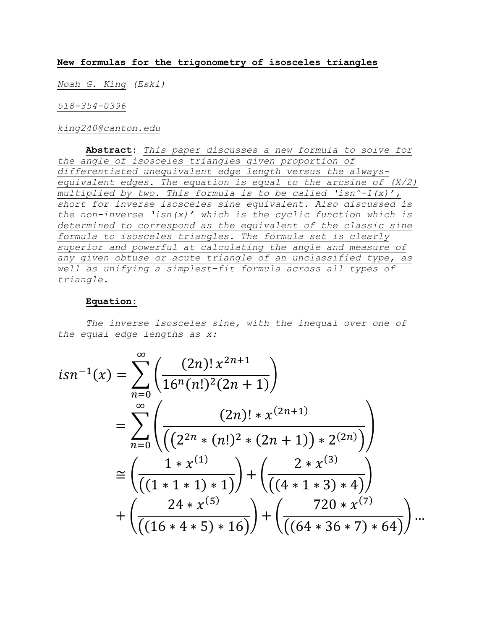## **New formulas for the trigonometry of isosceles triangles**

*Noah G. King (Eski)*

*518-354-0396*

*king240@canton.edu*

**Abstract:** *This paper discusses a new formula to solve for the angle of isosceles triangles given proportion of differentiated unequivalent edge length versus the alwaysequivalent edges. The equation is equal to the arcsine of (X/2) multiplied by two. This formula is to be called 'isn^-1(x)', short for inverse isosceles sine equivalent. Also discussed is the non-inverse 'isn(x)' which is the cyclic function which is determined to correspond as the equivalent of the classic sine formula to isosceles triangles. The formula set is clearly superior and powerful at calculating the angle and measure of any given obtuse or acute triangle of an unclassified type, as well as unifying a simplest-fit formula across all types of triangle.* 

## **Equation:**

*The inverse isosceles sine, with the inequal over one of the equal edge lengths as x:*

$$
isn^{-1}(x) = \sum_{n=0}^{\infty} \left( \frac{(2n)! x^{2n+1}}{16^n (n!)^2 (2n+1)} \right)
$$
  
= 
$$
\sum_{n=0}^{\infty} \left( \frac{(2n)! \times x^{(2n+1)}}{\left( (2^{2n} \times (n!)^2 \times (2n+1) \times 2^{(2n)} \right)} \right)
$$
  

$$
\approx \left( \frac{1 \times x^{(1)}}{\left( (1 \times 1 \times 1) \times 1 \right)} \right) + \left( \frac{2 \times x^{(3)}}{\left( (4 \times 1 \times 3) \times 4 \right)} \right)
$$
  
+ 
$$
\left( \frac{24 \times x^{(5)}}{\left( (16 \times 4 \times 5) \times 16 \right)} \right) + \left( \frac{720 \times x^{(7)}}{\left( (64 \times 36 \times 7) \times 64 \right)} \right) \dots
$$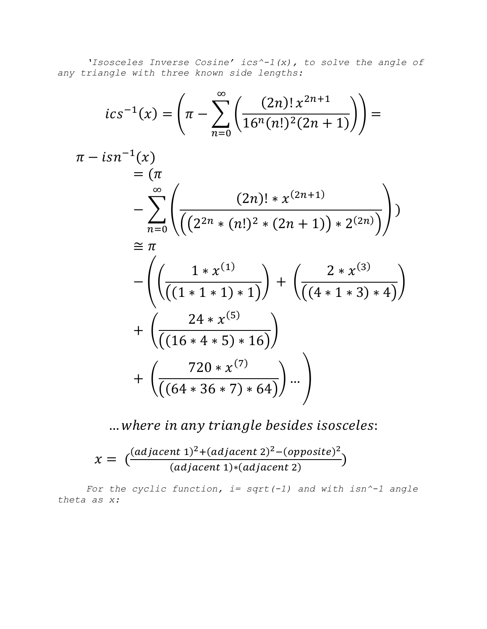*'Isosceles Inverse Cosine' ics^-1(x), to solve the angle of any triangle with three known side lengths:*

$$
ics^{-1}(x) = \left(\pi - \sum_{n=0}^{\infty} \left(\frac{(2n)! x^{2n+1}}{16^n (n!)^2 (2n+1)}\right)\right) =
$$
  
\n
$$
\pi - isn^{-1}(x)
$$
  
\n
$$
= (\pi - \sum_{n=0}^{\infty} \left(\frac{(2n)! * x^{(2n+1)}}{\left(\left(2^{2n} * (n!)^2 * (2n+1)\right) * 2^{(2n)}\right)}\right)\right)
$$
  
\n
$$
\approx \pi - \left(\left(\frac{1 * x^{(1)}}{\left((1 * 1 * 1) * 1\right)}\right) + \left(\frac{2 * x^{(3)}}{\left((4 * 1 * 3) * 4\right)}\right)\right)
$$
  
\n
$$
+ \left(\frac{24 * x^{(5)}}{\left((16 * 4 * 5) * 16\right)}\right)
$$
  
\n
$$
+ \left(\frac{720 * x^{(7)}}{\left((64 * 36 * 7) * 64\right)}\right) ... \right)
$$

... where in any triangle besides isosceles:

$$
\chi = \left( \frac{(adjacent\ 1)^2 + (adjacent\ 2)^2 - (opposite)^2}{(adjacent\ 1)^* (adjacent\ 2)} \right)
$$

*For the cyclic function, i= sqrt(-1) and with isn^-1 angle theta as x:*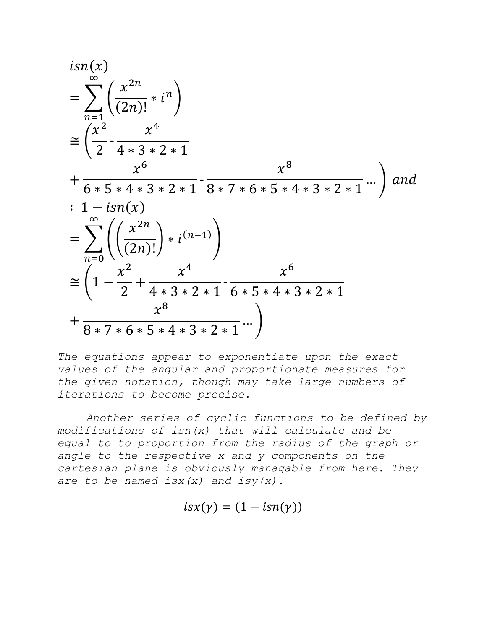$$
isn(x)
$$
  
= 
$$
\sum_{n=1}^{\infty} \left( \frac{x^{2n}}{(2n)!} * i^n \right)
$$
  
= 
$$
\left( \frac{x^2}{2} - \frac{x^4}{4 \cdot 3 \cdot 2 \cdot 1} + \frac{x^6}{6 \cdot 5 \cdot 4 \cdot 3 \cdot 2 \cdot 1} - \frac{x^8}{8 \cdot 7 \cdot 6 \cdot 5 \cdot 4 \cdot 3 \cdot 2 \cdot 1} \cdots \right)
$$
 and  

$$
: 1 - isn(x)
$$
  
= 
$$
\sum_{n=0}^{\infty} \left( \left( \frac{x^{2n}}{(2n)!} \right) * i^{(n-1)} \right)
$$
  

$$
\approx \left( 1 - \frac{x^2}{2} + \frac{x^4}{4 \cdot 3 \cdot 2 \cdot 1} - \frac{x^6}{6 \cdot 5 \cdot 4 \cdot 3 \cdot 2 \cdot 1} + \frac{x^8}{8 \cdot 7 \cdot 6 \cdot 5 \cdot 4 \cdot 3 \cdot 2 \cdot 1} \cdots \right)
$$

*The equations appear to exponentiate upon the exact values of the angular and proportionate measures for the given notation, though may take large numbers of iterations to become precise.*

*Another series of cyclic functions to be defined by modifications of isn(x) that will calculate and be equal to to proportion from the radius of the graph or angle to the respective x and y components on the cartesian plane is obviously managable from here. They are to be named isx(x) and isy(x).*

$$
isx(\gamma)=(1-isn(\gamma))
$$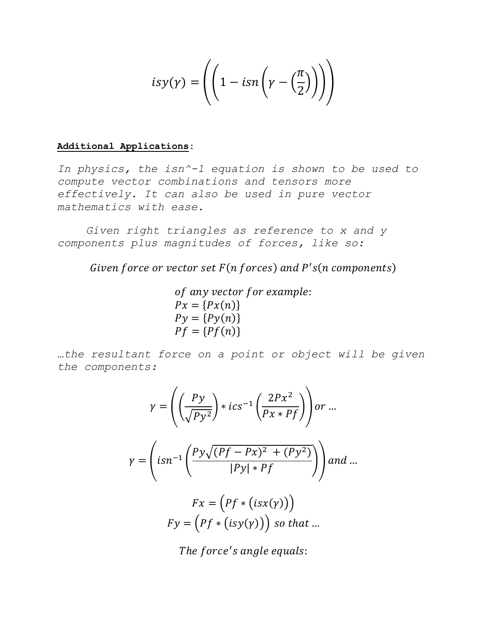$$
isy(\gamma) = \left( \left( 1 - isn \left( \gamma - \left( \frac{\pi}{2} \right) \right) \right) \right)
$$

## **Additional Applications:**

*In physics, the isn^-1 equation is shown to be used to compute vector combinations and tensors more effectively. It can also be used in pure vector mathematics with ease.*

*Given right triangles as reference to x and y components plus magnitudes of forces, like so:*

Given force or vector set  $F(n$  forces) and  $P's(n$  components)

of any vector for example:  $Px = {Px(n)}$  $Py = {Py(n)}$  $Pf = {Pf(n)}$ 

*…the resultant force on a point or object will be given the components:*

$$
\gamma = \left( \left( \frac{Py}{\sqrt{Py^2}} \right) * ics^{-1} \left( \frac{2Px^2}{Px * Pf} \right) \right) or ...
$$

$$
\gamma = \left( isn^{-1} \left( \frac{Py\sqrt{(Pf - Px)^2 + (Py^2)}}{|Py| * Pf} \right) \right) and ...
$$

$$
Fx = \left( Pf * (isx(\gamma)) \right)
$$

$$
Fy = \left( Pf * (isy(\gamma)) \right) so that ...
$$

The force's angle equals: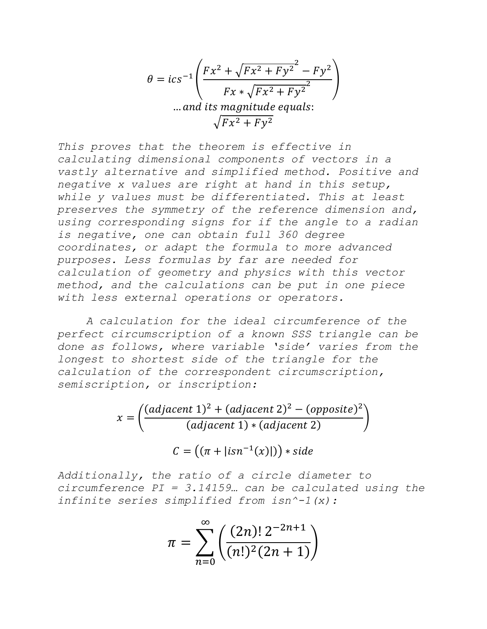$$
\theta = ics^{-1} \left( \frac{Fx^2 + \sqrt{Fx^2 + Fy^2}^2 - Fy^2}{Fx + \sqrt{Fx^2 + Fy^2}} \right)
$$
  
... and its magnitude equals:  

$$
\sqrt{Fx^2 + Fy^2}
$$

*This proves that the theorem is effective in calculating dimensional components of vectors in a vastly alternative and simplified method. Positive and negative x values are right at hand in this setup, while y values must be differentiated. This at least preserves the symmetry of the reference dimension and, using corresponding signs for if the angle to a radian is negative, one can obtain full 360 degree coordinates, or adapt the formula to more advanced purposes. Less formulas by far are needed for calculation of geometry and physics with this vector method, and the calculations can be put in one piece with less external operations or operators.*

*A calculation for the ideal circumference of the perfect circumscription of a known SSS triangle can be done as follows, where variable 'side' varies from the longest to shortest side of the triangle for the calculation of the correspondent circumscription, semiscription, or inscription:*

$$
x = \left(\frac{(adjacent\ 1)^2 + (adjacent\ 2)^2 - (opposite)^2}{(adjacent\ 1) * (adjacent\ 2)}\right)
$$

$$
C = \left(\left(\pi + |isn^{-1}(x)|\right)\right) * side
$$

*Additionally, the ratio of a circle diameter to circumference PI = 3.14159… can be calculated using the infinite series simplified from isn^-1(x):*

$$
\pi = \sum_{n=0}^{\infty} \left( \frac{(2n)! \, 2^{-2n+1}}{(n!)^2 (2n+1)} \right)
$$